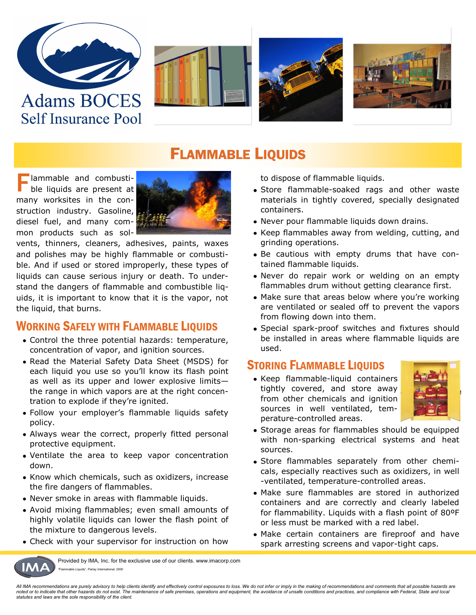

**Self Insurance Pool** 







## FLAMMABLE LIQUIDS

**F** lammable and combusti-<br>ble liquids are present at ble liquids are present at many worksites in the construction industry. Gasoline, diesel fuel, and many common products such as sol-



vents, thinners, cleaners, adhesives, paints, waxes and polishes may be highly flammable or combustible. And if used or stored improperly, these types of liquids can cause serious injury or death. To understand the dangers of flammable and combustible liquids, it is important to know that it is the vapor, not the liquid, that burns.

#### WORKING SAFELY WITH FLAMMABLE LIQUIDS

- Control the three potential hazards: temperature, concentration of vapor, and ignition sources.
- Read the Material Safety Data Sheet (MSDS) for each liquid you use so you'll know its flash point as well as its upper and lower explosive limits the range in which vapors are at the right concentration to explode if they're ignited.
- Follow your employer's flammable liquids safety policy.
- Always wear the correct, properly fitted personal protective equipment.
- Ventilate the area to keep vapor concentration down.
- Know which chemicals, such as oxidizers, increase the fire dangers of flammables.
- Never smoke in areas with flammable liquids.
- Avoid mixing flammables; even small amounts of highly volatile liquids can lower the flash point of the mixture to dangerous levels.
- Check with your supervisor for instruction on how

Provided by IMA, Inc. for the exclusive use of our clients. www.imacorp.com ble Liquids", Parlay International, 2000

to dispose of flammable liquids.

- Store flammable-soaked rags and other waste materials in tightly covered, specially designated containers.
- Never pour flammable liquids down drains.
- Keep flammables away from welding, cutting, and grinding operations.
- Be cautious with empty drums that have contained flammable liquids.
- Never do repair work or welding on an empty flammables drum without getting clearance first.
- Make sure that areas below where you're working are ventilated or sealed off to prevent the vapors from flowing down into them.
- Special spark-proof switches and fixtures should be installed in areas where flammable liquids are used.

#### **STORING FLAMMABLE LIQUIDS**

• Keep flammable-liquid containers tightly covered, and store away from other chemicals and ignition sources in well ventilated, temperature-controlled areas.



- Storage areas for flammables should be equipped with non-sparking electrical systems and heat sources.
- Store flammables separately from other chemicals, especially reactives such as oxidizers, in well -ventilated, temperature-controlled areas.
- Make sure flammables are stored in authorized containers and are correctly and clearly labeled for flammability. Liquids with a flash point of 80ºF or less must be marked with a red label.
- Make certain containers are fireproof and have spark arresting screens and vapor-tight caps.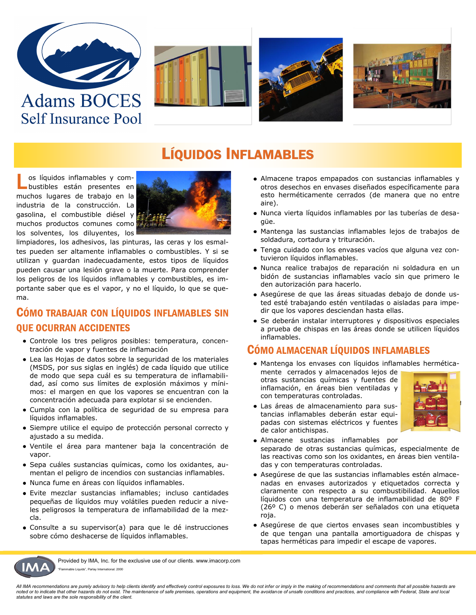

## **Adams BOCES Self Insurance Pool**







## LÍQUIDOS INFLAMABLES

L os líquidos inflamables y combustibles están presentes en muchos lugares de trabajo en la industria de la construcción. La gasolina, el combustible diésel y muchos productos comunes como los solventes, los diluyentes, los



limpiadores, los adhesivos, las pinturas, las ceras y los esmaltes pueden ser altamente inflamables o combustibles. Y si se utilizan y guardan inadecuadamente, estos tipos de líquidos pueden causar una lesión grave o la muerte. Para comprender los peligros de los líquidos inflamables y combustibles, es importante saber que es el vapor, y no el líquido, lo que se quema.

### CÓMO TRABAJAR CON LÍQUIDOS INFLAMABLES SIN QUE OCURRAN ACCIDENTES

- Controle los tres peligros posibles: temperatura, concentración de vapor y fuentes de inflamación
- Lea las Hojas de datos sobre la seguridad de los materiales (MSDS, por sus siglas en inglés) de cada líquido que utilice de modo que sepa cuál es su temperatura de inflamabilidad, así como sus límites de explosión máximos y mínimos: el margen en que los vapores se encuentran con la concentración adecuada para explotar si se encienden.
- Cumpla con la política de seguridad de su empresa para líquidos inflamables.
- Siempre utilice el equipo de protección personal correcto y ajustado a su medida.
- Ventile el área para mantener baja la concentración de vapor.
- Sepa cuáles sustancias químicas, como los oxidantes, aumentan el peligro de incendios con sustancias inflamables.
- Nunca fume en áreas con líquidos inflamables.
- Evite mezclar sustancias inflamables; incluso cantidades pequeñas de líquidos muy volátiles pueden reducir a niveles peligrosos la temperatura de inflamabilidad de la mezcla.
- Consulte a su supervisor(a) para que le dé instrucciones sobre cómo deshacerse de líquidos inflamables.
- Almacene trapos empapados con sustancias inflamables y otros desechos en envases diseñados específicamente para esto herméticamente cerrados (de manera que no entre aire).
- Nunca vierta líquidos inflamables por las tuberías de desagüe.
- Mantenga las sustancias inflamables lejos de trabajos de soldadura, cortadura y trituración.
- Tenga cuidado con los envases vacíos que alguna vez contuvieron líquidos inflamables.
- Nunca realice trabajos de reparación ni soldadura en un bidón de sustancias inflamables vacío sin que primero le den autorización para hacerlo.
- Asegúrese de que las áreas situadas debajo de donde usted esté trabajando estén ventiladas o aisladas para impedir que los vapores desciendan hasta ellas.
- Se deberán instalar interruptores y dispositivos especiales a prueba de chispas en las áreas donde se utilicen líquidos inflamables.

#### CÓMO ALMACENAR LÍQUIDOS INFLAMABLES

- Mantenga los envases con líquidos inflamables hermética-
- mente cerrados y almacenados lejos de otras sustancias químicas y fuentes de inflamación, en áreas bien ventiladas y con temperaturas controladas.



- Las áreas de almacenamiento para sustancias inflamables deberán estar equipadas con sistemas eléctricos y fuentes de calor antichispas.
- Almacene sustancias inflamables por separado de otras sustancias químicas, especialmente de las reactivas como son los oxidantes, en áreas bien ventiladas y con temperaturas controladas.
- Asegúrese de que las sustancias inflamables estén almacenadas en envases autorizados y etiquetados correcta y claramente con respecto a su combustibilidad. Aquellos líquidos con una temperatura de inflamabilidad de 80º F (26º C) o menos deberán ser señalados con una etiqueta roja.
- Asegúrese de que ciertos envases sean incombustibles y de que tengan una pantalla amortiguadora de chispas y tapas herméticas para impedir el escape de vapores.



Provided by IMA, Inc. for the exclusive use of our clients. www.imacorp.com able Liquids", Parlay International, 2000

*All IMA recommendations are purely advisory to help clients identify and effectively control exposures to loss. We do not infer or imply in the making of recommendations and comments that all possible hazards are noted or to indicate that other hazards do not exist. The maintenance of safe premises, operations and equipment, the avoidance of unsafe conditions and practices, and compliance with Federal, State and local statutes and laws are the sole responsibility of the client.*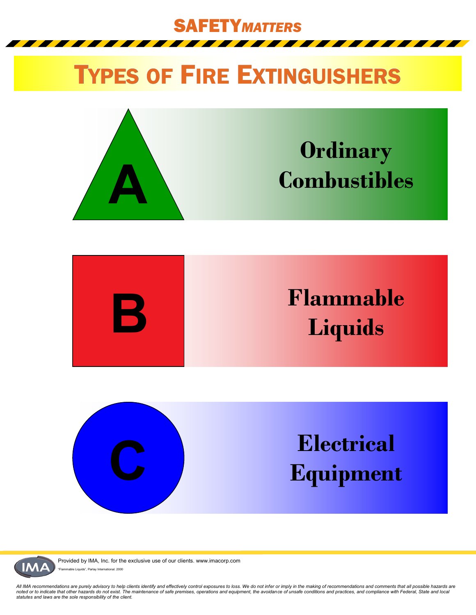

## TYPES OF FIRE EXTINGUISHERS









Provided by IMA, Inc. for the exclusive use of our clients. www.imacorp.com ble Liquids", Parlay International, 2000

*All IMA recommendations are purely advisory to help clients identify and effectively control exposures to loss. We do not infer or imply in the making of recommendations and comments that all possible hazards are*  noted or to indicate that other hazards do not exist. The maintenance of safe premises, operations and equipment, the avoidance of unsafe conditions and practices, and compliance with Federal, State and local<br>statutes and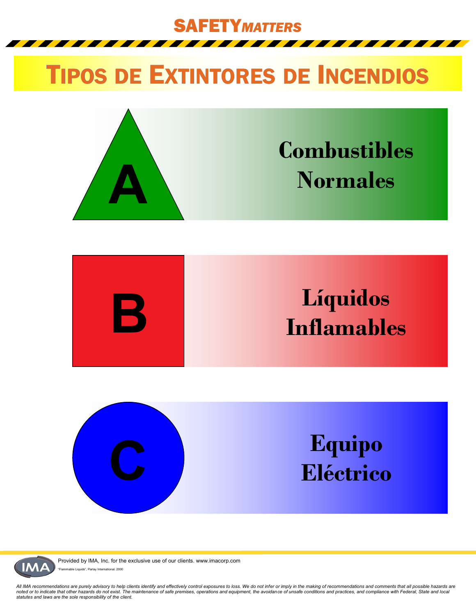SAFETY*MATTERS*

# TIPOS DE EXTINTORES DE INCENDIOS









Provided by IMA, Inc. for the exclusive use of our clients. www.imacorp.com ble Liquids", Parlay International, 2000

*All IMA recommendations are purely advisory to help clients identify and effectively control exposures to loss. We do not infer or imply in the making of recommendations and comments that all possible hazards are*  noted or to indicate that other hazards do not exist. The maintenance of safe premises, operations and equipment, the avoidance of unsafe conditions and practices, and compliance with Federal, State and local<br>statutes and